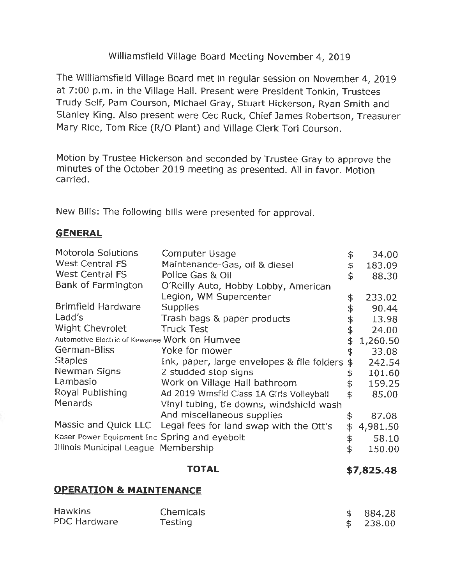# Williamsfield Village Board Meeting November 4, 2019

The Williamsfield Village Board met in regular session on November 4, 2019 at 7:00 p.m. in the Village Hall. Present were President Tonkin, Trustees Trudy Self, Pam Courson, Michael Gray, Stuart Hickerson, Ryan Smith and Stanley King. Also present were Cec Ruck, Chief James Robertson, Treasurer Mary Rice, Tom Rice (R/0 Plant) and Village Clerk Tori Courson.

Motion by Trustee Hickerson and seconded by Trustee Gray to approve the minutes of the October 2019 meeting as presented. All in favor. Motion carried.

New Bills: The following bills were presented for approval.

#### **GENERAL**

| \$<br>West Central FS<br>Maintenance-Gas, oil & diesel<br>\$<br><b>West Central FS</b><br>Police Gas & Oil<br>\$<br>Bank of Farmington<br>O'Reilly Auto, Hobby Lobby, American<br>Legion, WM Supercenter<br>\$<br>Brimfield Hardware<br><b>Supplies</b><br>\$<br>Ladd's<br>Trash bags & paper products<br>Wight Chevrolet<br><b>Truck Test</b><br>\$<br>Automotive Electric of Kewanee Work on Humvee<br>\$ |          |
|-------------------------------------------------------------------------------------------------------------------------------------------------------------------------------------------------------------------------------------------------------------------------------------------------------------------------------------------------------------------------------------------------------------|----------|
|                                                                                                                                                                                                                                                                                                                                                                                                             | 183.09   |
|                                                                                                                                                                                                                                                                                                                                                                                                             | 88.30    |
|                                                                                                                                                                                                                                                                                                                                                                                                             |          |
|                                                                                                                                                                                                                                                                                                                                                                                                             | 233.02   |
|                                                                                                                                                                                                                                                                                                                                                                                                             | 90.44    |
|                                                                                                                                                                                                                                                                                                                                                                                                             | 13.98    |
|                                                                                                                                                                                                                                                                                                                                                                                                             | 24.00    |
|                                                                                                                                                                                                                                                                                                                                                                                                             | 1,260.50 |
| German-Bliss<br>Yoke for mower<br>\$                                                                                                                                                                                                                                                                                                                                                                        | 33.08    |
| <b>Staples</b><br>Ink, paper, large envelopes & file folders<br>\$                                                                                                                                                                                                                                                                                                                                          | 242.54   |
| Newman Signs<br>2 studded stop signs                                                                                                                                                                                                                                                                                                                                                                        | 101.60   |
| Lambasio<br>Work on Village Hall bathroom<br>\$                                                                                                                                                                                                                                                                                                                                                             | 159.25   |
| Royal Publishing<br>Ad 2019 Wmsfld Class 1A Girls Volleyball<br>\$                                                                                                                                                                                                                                                                                                                                          | 85.00    |
| Menards<br>Vinyl tubing, tie downs, windshield wash                                                                                                                                                                                                                                                                                                                                                         |          |
| And miscellaneous supplies<br>\$                                                                                                                                                                                                                                                                                                                                                                            | 87.08    |
| Massie and Quick LLC Legal fees for land swap with the Ott's<br>\$                                                                                                                                                                                                                                                                                                                                          | 4,981.50 |
| Kaser Power Equipment Inc Spring and eyebolt<br>\$                                                                                                                                                                                                                                                                                                                                                          | 58.10    |
| Illinois Municipal League Membership<br>\$                                                                                                                                                                                                                                                                                                                                                                  | 150.00   |
|                                                                                                                                                                                                                                                                                                                                                                                                             |          |

#### **TOTAL \$[7,825.48](https://7,825.48)**

## **OPERATION & MAINTENANCE**

| <b>Hawkins</b> | <b>Chemicals</b> | \$884.28 |
|----------------|------------------|----------|
| PDC Hardware   | Testing          | \$238.00 |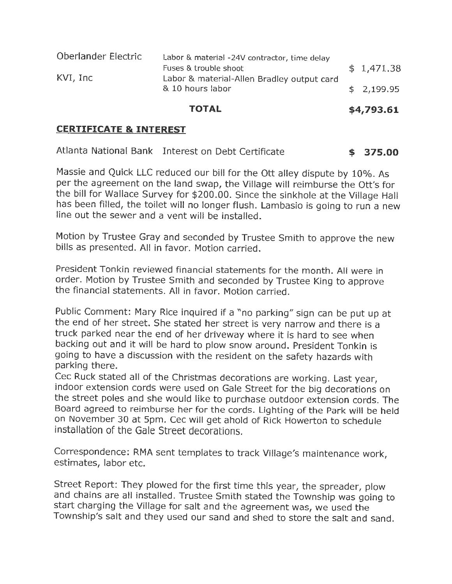| Oberlander Electric | Labor & material -24V contractor, time delay                   |            |
|---------------------|----------------------------------------------------------------|------------|
|                     | Fuses & trouble shoot                                          | \$1,471.38 |
| KVI, Inc            | Labor & material-Allen Bradley output card<br>& 10 hours labor | \$2,199.95 |

#### **TOTAL \$4,793.61**

#### **CERTIFICATE & INTEREST**

|  | Atlanta National Bank Interest on Debt Certificate | \$375.00 |
|--|----------------------------------------------------|----------|
|--|----------------------------------------------------|----------|

Massie and Quick LLC reduced our bill for the Ott alley dispute by 10%. As per the agreement on the land swap, the Village will reimburse the Ott's for the bill for Wallace Survey for \$200.00. Since the sinkhole at the Village Hall has been filled, the toilet will no longer flush. Lambasio is going to run a new line out the sewer and a vent will be installed.

Motion by Trustee Gray and seconded by Trustee Smith to approve the new bills as presented. All in favor. Motion carried.

President Tonkin reviewed financial statements for the month. All were in order. Motion by Trustee Smith and seconded by Trustee King to approve the financial statements. All in favor. Motion carried.

Public Comment: Mary Rice inquired if a "no parking" sign can be put up at the end of her street. She stated her street is very narrow and there is a truck parked near the end of her driveway where it is hard to see when backing out and it will be hard to plow snow around. President Tonkin is going to have a discussion with the resident on the safety hazards with parking there.

Cec Ruck stated all of the Christmas decorations are working. Last year, indoor extension cords were used on Gale Street for the big decorations on the street poles and she would like to purchase outdoor extension cords. The Board agreed to reimburse her for the cords. Lighting of the Park will be held on November 30 at 5pm. Cec will get ahold of Rick Howerton to schedule installation of the Gale Street decorations.

Correspondence: RMA sent templates to track Village's maintenance work, estimates, labor etc.

Street Report: They plowed for the first time this year, the spreader, plow and chains are all installed. Trustee Smith stated the Township was going to start charging the Village for salt and the agreement was, we used the Township's salt and they used our sand and shed to store the salt and sand.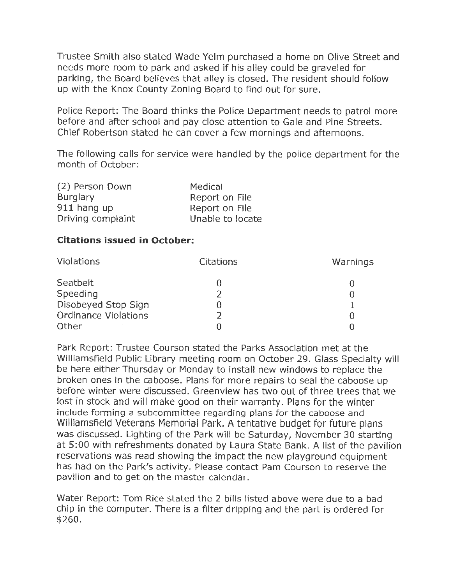Trustee Smith also stated Wade Yelm purchased a home on Olive Street and needs more room to park and asked if his alley could be graveled for parking, the Board believes that alley is closed. The resident should follow up with the Knox County Zoning Board to find out for sure.

Police Report: The Board thinks the Police Department needs to patrol more before and after school and pay close attention to Gale and Pine Streets. Chief Robertson stated he can cover a few mornings and afternoons.

The following calls for service were handled by the police department for the month of October:

| (2) Person Down   | Medical          |
|-------------------|------------------|
| <b>Burglary</b>   | Report on File   |
| 911 hang up       | Report on File   |
| Driving complaint | Unable to locate |

## **Citations issued in October:**

| <b>Violations</b>           | <b>Citations</b> | Warnings |
|-----------------------------|------------------|----------|
| Seatbelt                    |                  |          |
| Speeding                    |                  |          |
| Disobeyed Stop Sign         |                  |          |
| <b>Ordinance Violations</b> |                  |          |
| Other                       |                  |          |

Park Report: Trustee Courson stated the Parks Association met at the Williamsfield Public Library meeting room on October 29. Glass Specialty will be here either Thursday or Monday to install new windows to replace the broken ones in the caboose. Plans for more repairs to seal the caboose up before winter were discussed. Greenview has two out of three trees that we lost in stock and will make good on their warranty. Plans for the winter include forming a subcommittee regarding plans for the caboose and Williamsfield Veterans Memorial Park. A tentative budget for future plans was discussed. Lighting of the Park will be Saturday, November 30 starting at 5:00 with refreshments donated by Laura State Bank. A list of the pavilion reservations was read showing the impact the new playground equipment has had on the Park's activity. Please contact Pam Courson to reserve the pavilion and to get on the master calendar.

Water Report: Tom Rice stated the 2 bills listed above were due to a bad chip in the computer. There is a filter dripping and the part is ordered for \$260.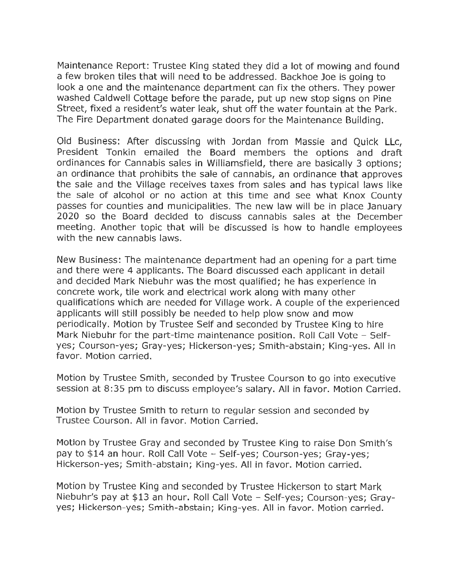Maintenance Report: Trustee King stated they did a lot of mowing and found a few broken tiles that will need to be addressed. Backhoe Joe is going to look a one and the maintenance department can fix the others. They power washed Caldwell Cottage before the parade, put up new stop signs on Pine Street, fixed a resident's water leak, shut off the water fountain at the Park. The Fire Department donated garage doors for the Maintenance Building.

Old Business: After discussing with Jordan from Massie and Quick Llc, President Tonkin emailed the Board members the options and draft ordinances for Cannabis sales in Williamsfield, there are basically 3 options; an ordinance that prohibits the sale of cannabis, an ordinance that approves the sale and the Village receives taxes from sales and has typical laws like the sale of alcohol or no action at this time and see what Knox County passes for counties and municipalities. The new law will be in place January 2020 so the Board decided to discuss cannabis sales at the December meeting. Another topic that will be discussed is how to handle employees with the new cannabis laws.

New Business: The maintenance department had an opening for a part time and there were 4 applicants. The Board discussed each applicant in detail and decided Mark Niebuhr was the most qualified; he has experience in concrete work, tile work and electrical work along with many other qualifications which are needed for Village work. A couple of the experienced applicants will still possibly be needed to help plow snow and mow periodically. Motion by Trustee Self and seconded by Trustee King to hire Mark Niebuhr for the part-time maintenance position. Roll Call Vote - Selfyes; Courson-yes; Gray-yes; Hickerson-yes; Smith-abstain; King-yes. All in favor. Motion carried.

Motion by Trustee Smith, seconded by Trustee Courson to go into executive session at 8:35 pm to discuss employee's salary. All in favor. Motion Carried.

Motion by Trustee Smith to return to regular session and seconded by Trustee Courson. All in favor. Motion Carried.

Motion by Trustee Gray and seconded by Trustee King to raise Don Smith's pay to \$14 an hour. Roll Call Vote - Self-yes; Courson-yes; Gray-yes; Hickerson-yes; Smith-abstain; King-yes. All in favor. Motion carried.

Motion by Trustee King and seconded by Trustee Hickerson to start Mark Niebuhr's pay at \$13 an hour. Roll Call Vote - Self-yes; Courson-yes; Grayyes; Hickerson-yes; Smith-abstain; King-yes. All in favor. Motion carried.